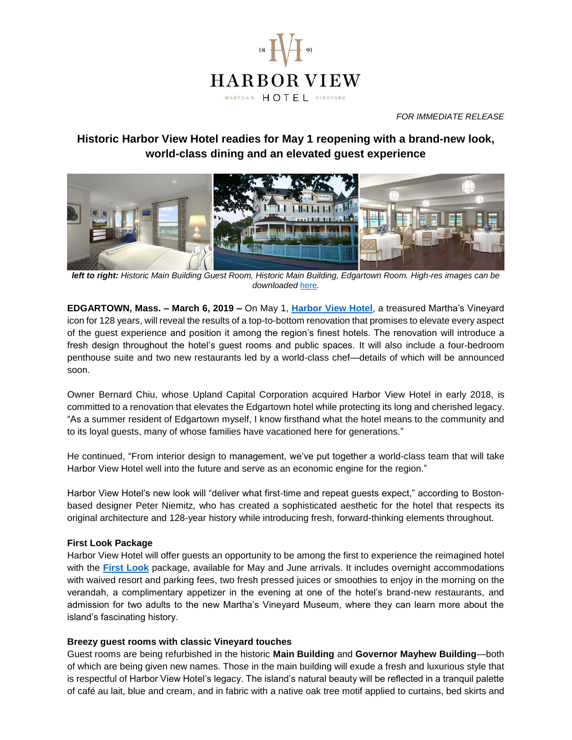

*FOR IMMEDIATE RELEASE*

# **Historic Harbor View Hotel readies for May 1 reopening with a brand-new look, world-class dining and an elevated guest experience**



*left to right: Historic Main Building Guest Room, Historic Main Building, Edgartown Room. High-res images can be downloaded* [here](https://www.dropbox.com/sh/p0rdijl94nmuz8v/AAD0-b-oH4XJLlYLsyo60aDta?dl=0)*.*

**EDGARTOWN, Mass. – March 6, 2019 –** On May 1, **[Harbor View Hotel](http://www.harborviewhotel.com/)**, a treasured Martha's Vineyard icon for 128 years, will reveal the results of a top-to-bottom renovation that promises to elevate every aspect of the guest experience and position it among the region's finest hotels. The renovation will introduce a fresh design throughout the hotel's guest rooms and public spaces. It will also include a four-bedroom penthouse suite and two new restaurants led by a world-class chef—details of which will be announced soon.

Owner Bernard Chiu, whose Upland Capital Corporation acquired Harbor View Hotel in early 2018, is committed to a renovation that elevates the Edgartown hotel while protecting its long and cherished legacy. "As a summer resident of Edgartown myself, I know firsthand what the hotel means to the community and to its loyal guests, many of whose families have vacationed here for generations."

He continued, "From interior design to management, we've put together a world-class team that will take Harbor View Hotel well into the future and serve as an economic engine for the region."

Harbor View Hotel's new look will "deliver what first-time and repeat guests expect," according to Bostonbased designer Peter Niemitz, who has created a sophisticated aesthetic for the hotel that respects its original architecture and 128-year history while introducing fresh, forward-thinking elements throughout.

# **First Look Package**

Harbor View Hotel will offer guests an opportunity to be among the first to experience the reimagined hotel with the **[First Look](https://www.harborviewhotel.com/specials/first-look)** package, available for May and June arrivals. It includes overnight accommodations with waived resort and parking fees, two fresh pressed juices or smoothies to enjoy in the morning on the verandah, a complimentary appetizer in the evening at one of the hotel's brand-new restaurants, and admission for two adults to the new Martha's Vineyard Museum, where they can learn more about the island's fascinating history.

#### **Breezy guest rooms with classic Vineyard touches**

Guest rooms are being refurbished in the historic **Main Building** and **Governor Mayhew Building**—both of which are being given new names. Those in the main building will exude a fresh and luxurious style that is respectful of Harbor View Hotel's legacy. The island's natural beauty will be reflected in a tranquil palette of café au lait, blue and cream, and in fabric with a native oak tree motif applied to curtains, bed skirts and